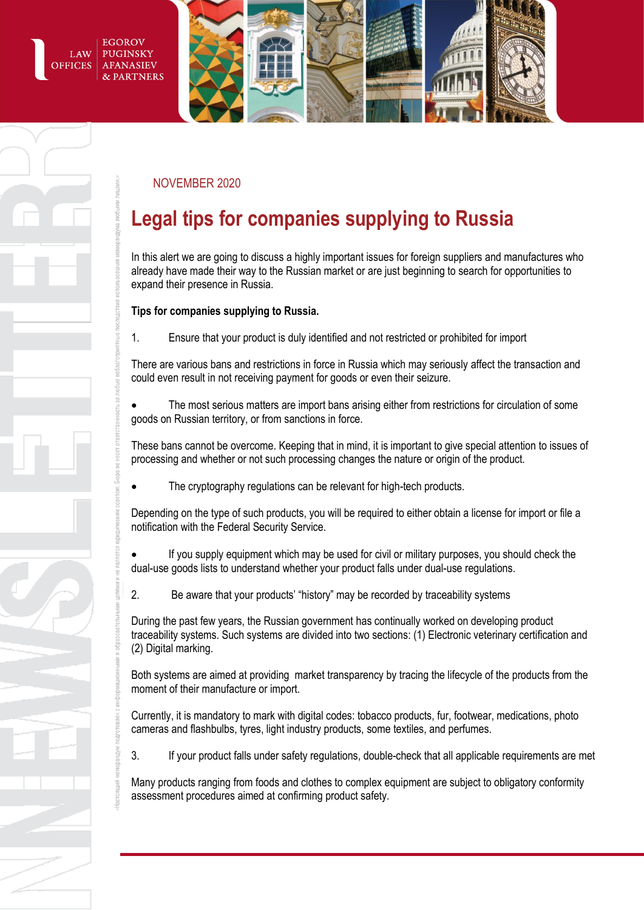EGOROV LAW **PUGINSKY AFANASIEV OFFICES PARTNERS** 



### NOVEMBER 2020

# **Legal tips for companies supplying to Russia**

In this alert we are going to discuss a highly important issues for foreign suppliers and manufactures who already have made their way to the Russian market or are just beginning to search for opportunities to expand their presence in Russia.

### **Tips for companies supplying to Russia.**

1. Ensure that your product is duly identified and not restricted or prohibited for import

There are various bans and restrictions in force in Russia which may seriously affect the transaction and could even result in not receiving payment for goods or even their seizure.

 The most serious matters are import bans arising either from restrictions for circulation of some goods on Russian territory, or from sanctions in force.

These bans cannot be overcome. Keeping that in mind, it is important to give special attention to issues of processing and whether or not such processing changes the nature or origin of the product.

The cryptography regulations can be relevant for high-tech products.

Depending on the type of such products, you will be required to either obtain a license for import or file a notification with the Federal Security Service.

 If you supply equipment which may be used for civil or military purposes, you should check the dual-use goods lists to understand whether your product falls under dual-use regulations.

2. Be aware that your products' "history" may be recorded by traceability systems

During the past few years, the Russian government has continually worked on developing product traceability systems. Such systems are divided into two sections: (1) Electronic veterinary certification and (2) Digital marking.

Both systems are aimed at providing market transparency by tracing the lifecycle of the products from the moment of their manufacture or import.

Currently, it is mandatory to mark with digital codes: tobacco products, fur, footwear, medications, photo cameras and flashbulbs, tyres, light industry products, some textiles, and perfumes.

3. If your product falls under safety regulations, double-check that all applicable requirements are met

Many products ranging from foods and clothes to complex equipment are subject to obligatory conformity assessment procedures aimed at confirming product safety.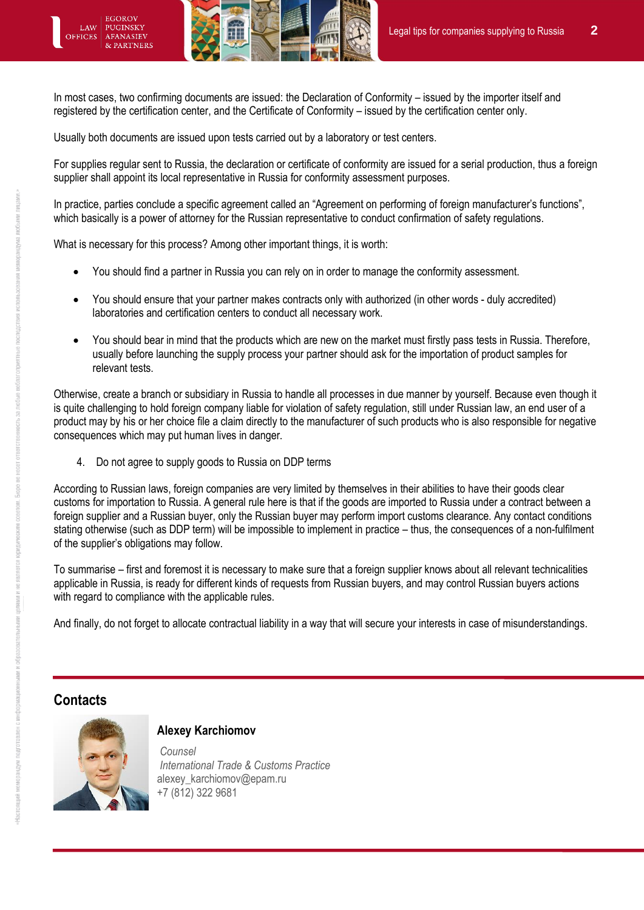**EGOROV** PUGINSKY OFFICES **AFANASIEV** 

In most cases, two confirming documents are issued: the Declaration of Conformity – issued by the importer itself and registered by the certification center, and the Certificate of Conformity – issued by the certification center only.

Usually both documents are issued upon tests carried out by a laboratory or test centers.

For supplies regular sent to Russia, the declaration or certificate of conformity are issued for a serial production, thus a foreign supplier shall appoint its local representative in Russia for conformity assessment purposes.

In practice, parties conclude a specific agreement called an "Agreement on performing of foreign manufacturer's functions", which basically is a power of attorney for the Russian representative to conduct confirmation of safety regulations.

What is necessary for this process? Among other important things, it is worth:

- You should find a partner in Russia you can rely on in order to manage the conformity assessment.
- You should ensure that your partner makes contracts only with authorized (in other words duly accredited) laboratories and certification centers to conduct all necessary work.
- You should bear in mind that the products which are new on the market must firstly pass tests in Russia. Therefore, usually before launching the supply process your partner should ask for the importation of product samples for relevant tests.

Otherwise, create a branch or subsidiary in Russia to handle all processes in due manner by yourself. Because even though it is quite challenging to hold foreign company liable for violation of safety regulation, still under Russian law, an end user of a product may by his or her choice file a claim directly to the manufacturer of such products who is also responsible for negative consequences which may put human lives in danger.

4. Do not agree to supply goods to Russia on DDP terms

According to Russian laws, foreign companies are very limited by themselves in their abilities to have their goods clear customs for importation to Russia. A general rule here is that if the goods are imported to Russia under a contract between a foreign supplier and a Russian buyer, only the Russian buyer may perform import customs clearance. Any contact conditions stating otherwise (such as DDP term) will be impossible to implement in practice – thus, the consequences of a non-fulfilment of the supplier's obligations may follow.

To summarise – first and foremost it is necessary to make sure that a foreign supplier knows about all relevant technicalities applicable in Russia, is ready for different kinds of requests from Russian buyers, and may control Russian buyers actions with regard to compliance with the applicable rules.

And finally, do not forget to allocate contractual liability in a way that will secure your interests in case of misunderstandings.

## **Contacts**



### **Alexey Karchiomov**

*Counsel International Trade & Customs Practice* alexey\_karchiomov@epam.ru +7 (812) 322 9681